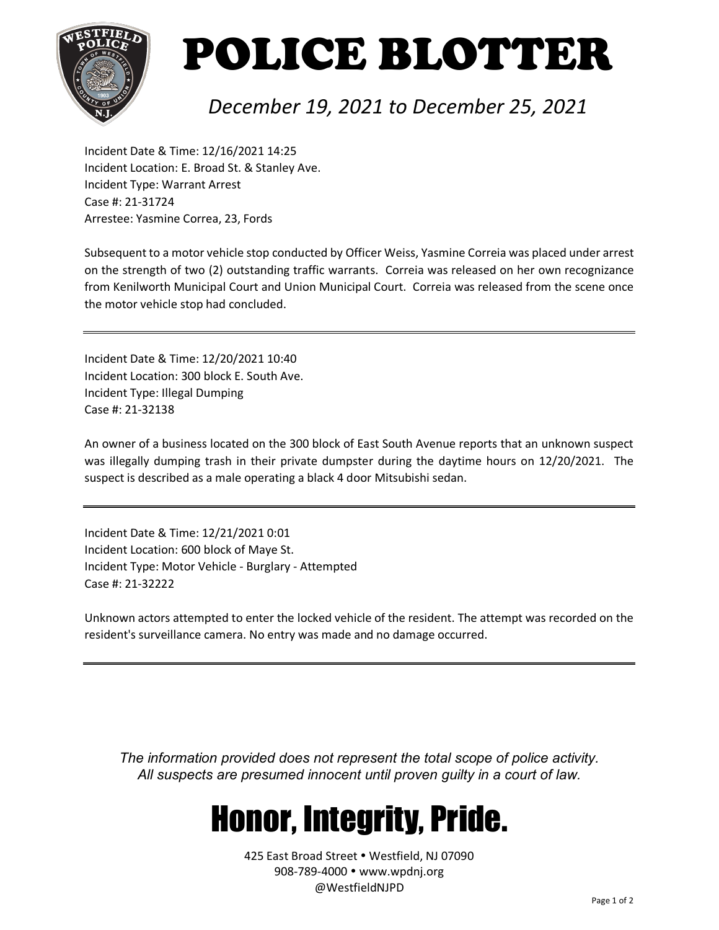

# POLICE BLOTTER

#### *December 19, 2021 to December 25, 2021*

Incident Date & Time: 12/16/2021 14:25 Incident Location: E. Broad St. & Stanley Ave. Incident Type: Warrant Arrest Case #: 21-31724 Arrestee: Yasmine Correa, 23, Fords

Subsequent to a motor vehicle stop conducted by Officer Weiss, Yasmine Correia was placed under arrest on the strength of two (2) outstanding traffic warrants. Correia was released on her own recognizance from Kenilworth Municipal Court and Union Municipal Court. Correia was released from the scene once the motor vehicle stop had concluded.

Incident Date & Time: 12/20/2021 10:40 Incident Location: 300 block E. South Ave. Incident Type: Illegal Dumping Case #: 21-32138

An owner of a business located on the 300 block of East South Avenue reports that an unknown suspect was illegally dumping trash in their private dumpster during the daytime hours on 12/20/2021. The suspect is described as a male operating a black 4 door Mitsubishi sedan.

Incident Date & Time: 12/21/2021 0:01 Incident Location: 600 block of Maye St. Incident Type: Motor Vehicle - Burglary - Attempted Case #: 21-32222

Unknown actors attempted to enter the locked vehicle of the resident. The attempt was recorded on the resident's surveillance camera. No entry was made and no damage occurred.

*The information provided does not represent the total scope of police activity. All suspects are presumed innocent until proven guilty in a court of law.*

### Honor, Integrity, Pride.

425 East Broad Street . Westfield, NJ 07090 908-789-4000 www.wpdnj.org @WestfieldNJPD